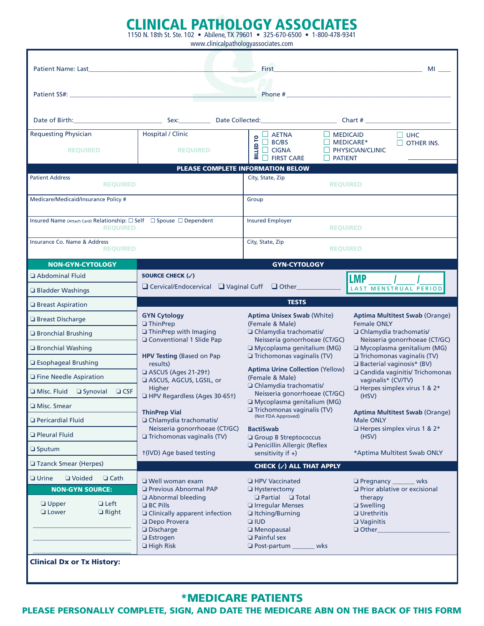## CLINICAL PATHOLOGY ASSOCIATES 1150 N. 18th St. Ste. 102 • Abilene, TX 79601 • 325-670-6500 • 1-800-478-9341

www.clinicalpathologyassociates.com

| <b>Patient Name: Last</b>                                                               |                                                                                                                                                                                                                                | First                                                                                                                                                                      | MI<br>the control of the control of the control of the control of the control of the control of |  |
|-----------------------------------------------------------------------------------------|--------------------------------------------------------------------------------------------------------------------------------------------------------------------------------------------------------------------------------|----------------------------------------------------------------------------------------------------------------------------------------------------------------------------|-------------------------------------------------------------------------------------------------|--|
|                                                                                         |                                                                                                                                                                                                                                |                                                                                                                                                                            |                                                                                                 |  |
| $\sim$                                                                                  |                                                                                                                                                                                                                                |                                                                                                                                                                            |                                                                                                 |  |
|                                                                                         |                                                                                                                                                                                                                                |                                                                                                                                                                            |                                                                                                 |  |
|                                                                                         | Date of Birth: Charles Communication Charles Sex: Charles Date Collected: Charles Charles Charles Turning Charles Charles Charles Charles Charles Charles Charles Charles Charles Charles Charles Charles Charles Charles Char |                                                                                                                                                                            |                                                                                                 |  |
| <b>Requesting Physician</b>                                                             | <b>Hospital / Clinic</b>                                                                                                                                                                                                       | $\Box$ MEDICAID<br>$\Box$ AETNA                                                                                                                                            | $\square$ UHC                                                                                   |  |
| <b>REQUIRED</b>                                                                         | <b>REQUIRED</b>                                                                                                                                                                                                                | $\frac{P}{2}$ $\frac{L}{2}$ BC/BS<br>$\Box$ MEDICARE*<br>BILLED <sup>-</sup><br>$\Box$ CIGNA<br>$\Box$ FIRST CARE<br>$\Box$ patient                                        | $\Box$ OTHER INS.<br>PHYSICIAN/CLINIC                                                           |  |
| PLEASE COMPLETE INFORMATION BELOW                                                       |                                                                                                                                                                                                                                |                                                                                                                                                                            |                                                                                                 |  |
| <b>Patient Address</b><br><b>REQUIRED</b>                                               |                                                                                                                                                                                                                                | City, State, Zip<br><b>REQUIRED</b>                                                                                                                                        |                                                                                                 |  |
| Medicare/Medicaid/Insurance Policy #                                                    |                                                                                                                                                                                                                                | Group                                                                                                                                                                      |                                                                                                 |  |
| Insured Name (Attach Card) Relationship: □ Self □ Spouse □ Dependent<br><b>REQUIRED</b> |                                                                                                                                                                                                                                | <b>Insured Employer</b><br><b>REQUIRED</b>                                                                                                                                 |                                                                                                 |  |
| Insurance Co. Name & Address<br><b>REQUIRED</b>                                         |                                                                                                                                                                                                                                | City, State, Zip<br><b>REQUIRED</b>                                                                                                                                        |                                                                                                 |  |
| <b>NON-GYN-CYTOLOGY</b>                                                                 |                                                                                                                                                                                                                                | <b>GYN-CYTOLOGY</b>                                                                                                                                                        |                                                                                                 |  |
| Abdominal Fluid                                                                         | SOURCE CHECK (√)                                                                                                                                                                                                               |                                                                                                                                                                            | <b>LMP</b>                                                                                      |  |
| □ Bladder Washings                                                                      | □ Cervical/Endocervical □ Vaginal Cuff □ Other                                                                                                                                                                                 |                                                                                                                                                                            | LAST MENSTRUAL PERIOD                                                                           |  |
| □ Breast Aspiration                                                                     |                                                                                                                                                                                                                                | <b>TESTS</b>                                                                                                                                                               |                                                                                                 |  |
| <b>Execution</b> Breast Discharge                                                       | <b>GYN Cytology</b><br>$\Box$ ThinPrep                                                                                                                                                                                         | <b>Aptima Unisex Swab (White)</b><br>(Female & Male)                                                                                                                       | <b>Aptima Multitest Swab (Orange)</b><br><b>Female ONLY</b>                                     |  |
| <b>Exercise Brushing</b>                                                                | <b>ThinPrep with Imaging</b>                                                                                                                                                                                                   | □ Chlamydia trachomatis/                                                                                                                                                   | □ Chlamydia trachomatis/                                                                        |  |
| □ Bronchial Washing                                                                     | G Conventional 1 Slide Pap                                                                                                                                                                                                     | Neisseria gonorrhoeae (CT/GC)<br>I Mycoplasma genitalium (MG)                                                                                                              | Neisseria gonorrhoeae (CT/GC)<br>Mycoplasma genitalium (MG)                                     |  |
| □ Esophageal Brushing                                                                   | <b>HPV Testing (Based on Pap</b><br>results)                                                                                                                                                                                   | Trichomonas vaginalis (TV)                                                                                                                                                 | Trichomonas vaginalis (TV)<br><b>Bacterial vaginosis* (BV)</b>                                  |  |
| <b>D</b> Fine Needle Aspiration                                                         | ASCUS (Ages 21-291)<br>ASCUS, AGCUS, LGSIL, or                                                                                                                                                                                 | <b>Aptima Urine Collection (Yellow)</b><br>(Female & Male)                                                                                                                 | □ Candida vaginitis/ Trichomonas<br>vaginalis* (CV/TV)                                          |  |
| $\Box$ Misc. Fluid $\Box$ Synovial $\Box$ CSF                                           | <b>Higher</b>                                                                                                                                                                                                                  | □ Chlamydia trachomatis/<br>Neisseria gonorrhoeae (CT/GC)                                                                                                                  | $\Box$ Herpes simplex virus 1 & 2*                                                              |  |
| <b>I</b> Misc. Smear                                                                    | HPV Regardless (Ages 30-651)                                                                                                                                                                                                   | Mycoplasma genitalium (MG)<br>$\Box$ Trichomonas vaginalis (TV)                                                                                                            | (HSV)                                                                                           |  |
| <b>D</b> Pericardial Fluid                                                              | <b>ThinPrep Vial</b><br>□ Chlamydia trachomatis/                                                                                                                                                                               | (Not FDA Approved)                                                                                                                                                         | <b>Aptima Multitest Swab (Orange)</b><br><b>Male ONLY</b>                                       |  |
| <b>D</b> Pleural Fluid                                                                  | Neisseria gonorrhoeae (CT/GC)<br>Trichomonas vaginalis (TV)                                                                                                                                                                    | <b>BactiSwab</b><br>Group B Streptococcus                                                                                                                                  | $\Box$ Herpes simplex virus 1 & 2*<br>(HSV)                                                     |  |
| $\square$ Sputum                                                                        | t(IVD) Age based testing                                                                                                                                                                                                       | Penicillin Allergic (Reflex<br>sensitivity if $+$ )                                                                                                                        | *Aptima Multitest Swab ONLY                                                                     |  |
| <b>Tzanck Smear (Herpes)</b>                                                            |                                                                                                                                                                                                                                | CHECK (v) ALL THAT APPLY                                                                                                                                                   |                                                                                                 |  |
| $\Box$ Urine<br>□ Voided<br>$\Box$ Cath                                                 | □ Well woman exam                                                                                                                                                                                                              | <b>Example HPV Vaccinated</b>                                                                                                                                              | $\Box$ Pregnancy $\Box$<br><b>Example 18</b>                                                    |  |
| <b>NON-GYN SOURCE:</b>                                                                  | <b>T</b> Previous Abnormal PAP                                                                                                                                                                                                 | $\Box$ Hysterectomy                                                                                                                                                        | $\Box$ Prior ablative or excisional                                                             |  |
| <b>Upper</b><br>$\Box$ Left<br>$\Box$ Right<br><b>Lower</b>                             | Abnormal bleeding<br>$\Box$ BC Pills<br><b>Q</b> Clinically apparent infection<br><b>Depo Provera</b><br>Discharge<br><b>Q</b> Estrogen<br>$\Box$ High Risk                                                                    | $\Box$ Partial $\Box$ Total<br><b>T</b> Irregular Menses<br>□ Itching/Burning<br>$\square$ IUD<br><b>I</b> Menopausal<br>$\Box$ Painful sex<br>D Post-partum ______<br>wks | therapy<br>□ Swelling<br>$\Box$ Urethritis<br>□ Vaginitis<br>Other_                             |  |
| <b>Clinical Dx or Tx History:</b>                                                       |                                                                                                                                                                                                                                |                                                                                                                                                                            |                                                                                                 |  |

# \*MEDICARE PATIENTS

# PLEASE PERSONALLY COMPLETE, SIGN, AND DATE THE MEDICARE ABN ON THE BACK OF THIS FORM